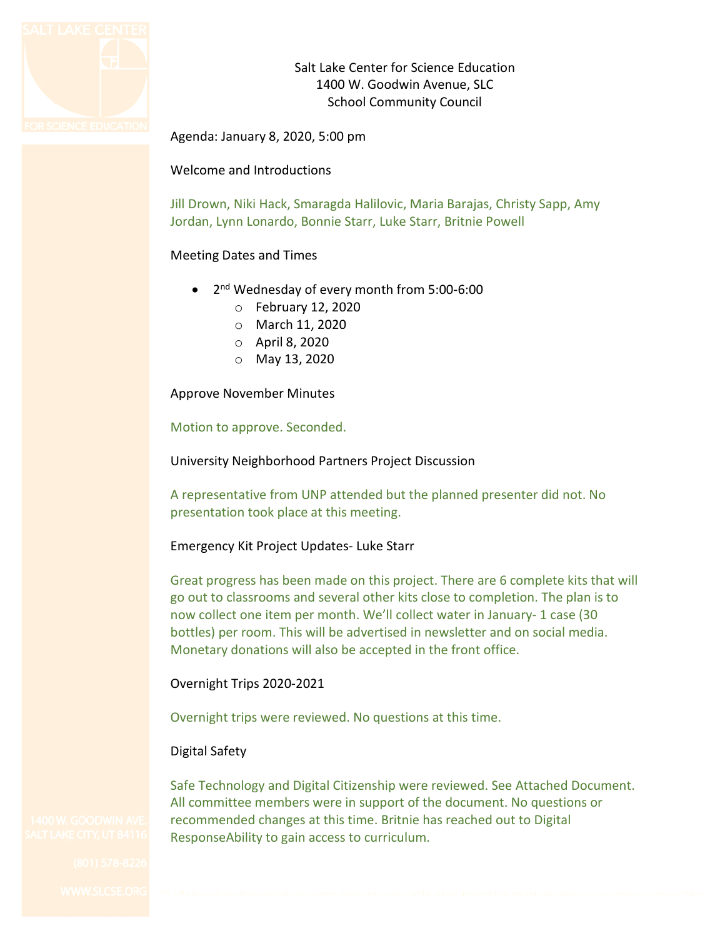

Salt Lake Center for Science Education 1400 W. Goodwin Avenue, SLC School Community Council

Agenda: January 8, 2020, 5:00 pm

Welcome and Introductions

Jill Drown, Niki Hack, Smaragda Halilovic, Maria Barajas, Christy Sapp, Amy Jordan, Lynn Lonardo, Bonnie Starr, Luke Starr, Britnie Powell

### Meeting Dates and Times

- 2<sup>nd</sup> Wednesday of every month from 5:00-6:00
	- o February 12, 2020
	- o March 11, 2020
	- o April 8, 2020
	- o May 13, 2020

Approve November Minutes

Motion to approve. Seconded.

University Neighborhood Partners Project Discussion

A representative from UNP attended but the planned presenter did not. No presentation took place at this meeting.

### Emergency Kit Project Updates- Luke Starr

Great progress has been made on this project. There are 6 complete kits that will go out to classrooms and several other kits close to completion. The plan is to now collect one item per month. We'll collect water in January- 1 case (30 bottles) per room. This will be advertised in newsletter and on social media. Monetary donations will also be accepted in the front office.

# Overnight Trips 2020-2021

Overnight trips were reviewed. No questions at this time.

# Digital Safety

Safe Technology and Digital Citizenship were reviewed. See Attached Document. All committee members were in support of the document. No questions or recommended changes at this time. Britnie has reached out to Digital ResponseAbility to gain access to curriculum.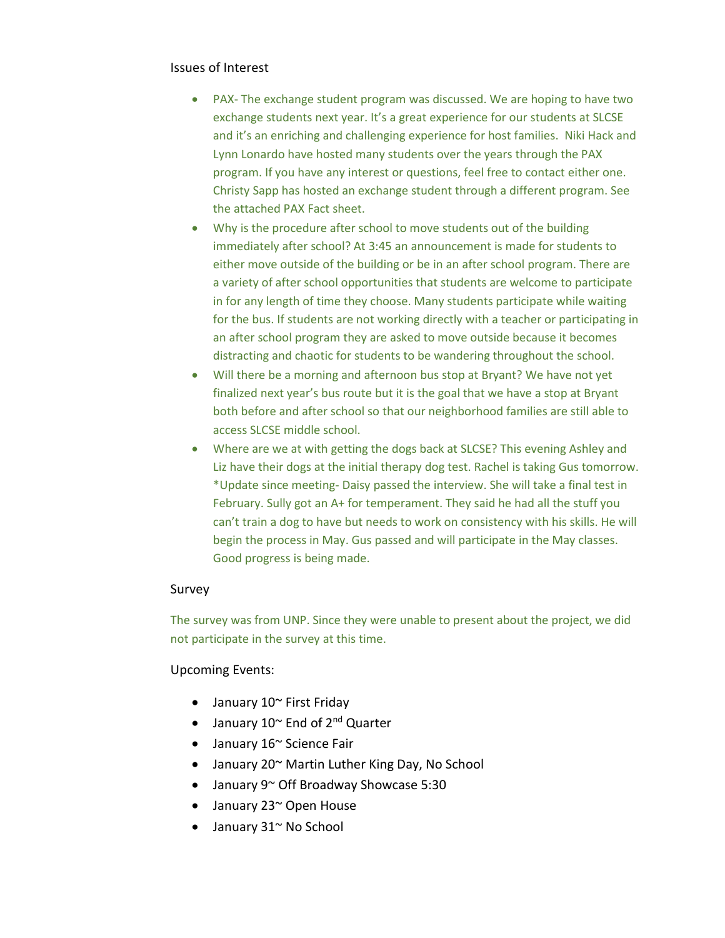### Issues of Interest

- PAX- The exchange student program was discussed. We are hoping to have two exchange students next year. It's a great experience for our students at SLCSE and it's an enriching and challenging experience for host families. Niki Hack and Lynn Lonardo have hosted many students over the years through the PAX program. If you have any interest or questions, feel free to contact either one. Christy Sapp has hosted an exchange student through a different program. See the attached PAX Fact sheet.
- Why is the procedure after school to move students out of the building immediately after school? At 3:45 an announcement is made for students to either move outside of the building or be in an after school program. There are a variety of after school opportunities that students are welcome to participate in for any length of time they choose. Many students participate while waiting for the bus. If students are not working directly with a teacher or participating in an after school program they are asked to move outside because it becomes distracting and chaotic for students to be wandering throughout the school.
- Will there be a morning and afternoon bus stop at Bryant? We have not yet finalized next year's bus route but it is the goal that we have a stop at Bryant both before and after school so that our neighborhood families are still able to access SLCSE middle school.
- Where are we at with getting the dogs back at SLCSE? This evening Ashley and Liz have their dogs at the initial therapy dog test. Rachel is taking Gus tomorrow. \*Update since meeting- Daisy passed the interview. She will take a final test in February. Sully got an A+ for temperament. They said he had all the stuff you can't train a dog to have but needs to work on consistency with his skills. He will begin the process in May. Gus passed and will participate in the May classes. Good progress is being made.

### Survey

The survey was from UNP. Since they were unable to present about the project, we did not participate in the survey at this time.

### Upcoming Events:

- January 10~ First Friday
- January 10~ End of 2<sup>nd</sup> Quarter
- January 16~ Science Fair
- January 20~ Martin Luther King Day, No School
- January 9~ Off Broadway Showcase 5:30
- January 23~ Open House
- January 31~ No School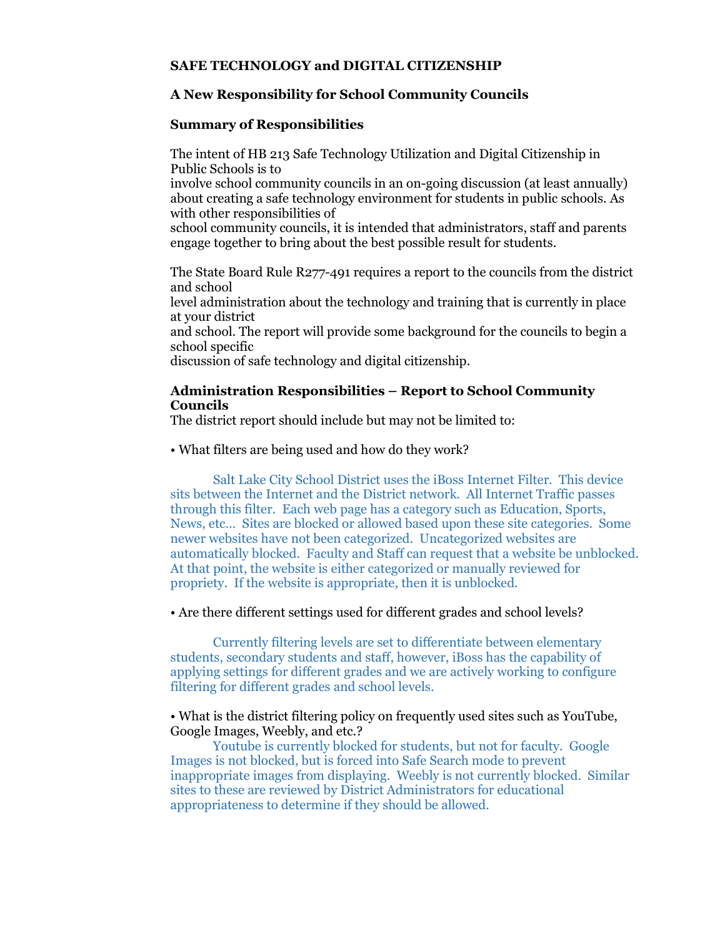### **SAFE TECHNOLOGY and DIGITAL CITIZENSHIP**

# **A New Responsibility for School Community Councils**

### **Summary of Responsibilities**

The intent of HB 213 Safe Technology Utilization and Digital Citizenship in Public Schools is to

involve school community councils in an on-going discussion (at least annually) about creating a safe technology environment for students in public schools. As with other responsibilities of

school community councils, it is intended that administrators, staff and parents engage together to bring about the best possible result for students.

The State Board Rule R277-491 requires a report to the councils from the district and school

level administration about the technology and training that is currently in place at your district

and school. The report will provide some background for the councils to begin a school specific

discussion of safe technology and digital citizenship.

### **Administration Responsibilities – Report to School Community Councils**

The district report should include but may not be limited to:

#### • What filters are being used and how do they work?

Salt Lake City School District uses the iBoss Internet Filter. This device sits between the Internet and the District network. All Internet Traffic passes through this filter. Each web page has a category such as Education, Sports, News, etc… Sites are blocked or allowed based upon these site categories. Some newer websites have not been categorized. Uncategorized websites are automatically blocked. Faculty and Staff can request that a website be unblocked. At that point, the website is either categorized or manually reviewed for propriety. If the website is appropriate, then it is unblocked.

### • Are there different settings used for different grades and school levels?

Currently filtering levels are set to differentiate between elementary students, secondary students and staff, however, iBoss has the capability of applying settings for different grades and we are actively working to configure filtering for different grades and school levels.

### • What is the district filtering policy on frequently used sites such as YouTube, Google Images, Weebly, and etc.?

Youtube is currently blocked for students, but not for faculty. Google Images is not blocked, but is forced into Safe Search mode to prevent inappropriate images from displaying. Weebly is not currently blocked. Similar sites to these are reviewed by District Administrators for educational appropriateness to determine if they should be allowed.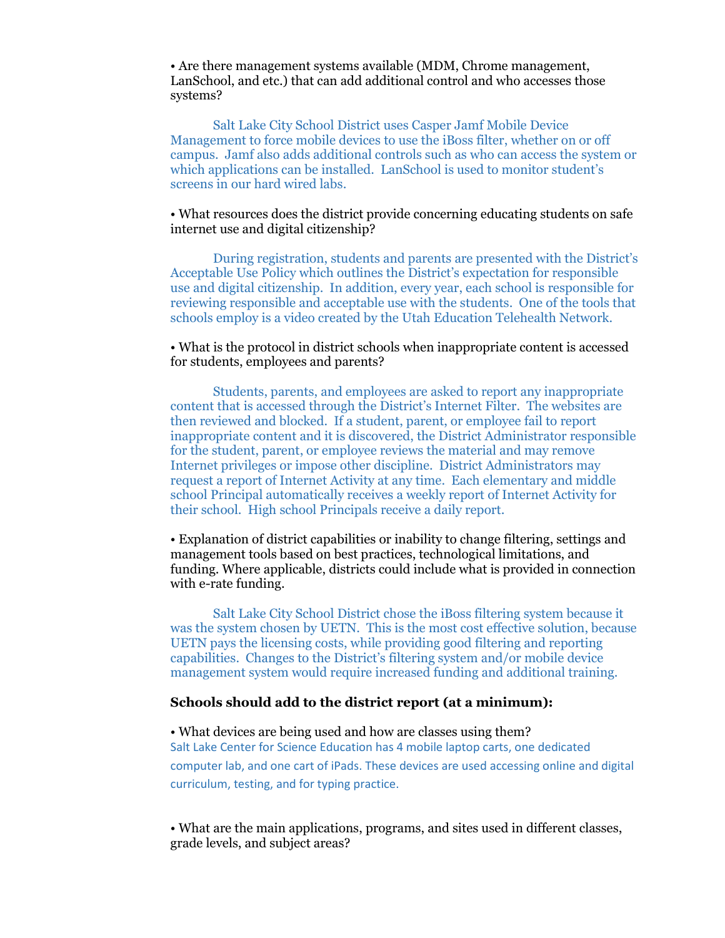• Are there management systems available (MDM, Chrome management, LanSchool, and etc.) that can add additional control and who accesses those systems?

Salt Lake City School District uses Casper Jamf Mobile Device Management to force mobile devices to use the iBoss filter, whether on or off campus. Jamf also adds additional controls such as who can access the system or which applications can be installed. LanSchool is used to monitor student's screens in our hard wired labs.

### • What resources does the district provide concerning educating students on safe internet use and digital citizenship?

During registration, students and parents are presented with the District's Acceptable Use Policy which outlines the District's expectation for responsible use and digital citizenship. In addition, every year, each school is responsible for reviewing responsible and acceptable use with the students. One of the tools that schools employ is a video created by the Utah Education Telehealth Network.

### • What is the protocol in district schools when inappropriate content is accessed for students, employees and parents?

Students, parents, and employees are asked to report any inappropriate content that is accessed through the District's Internet Filter. The websites are then reviewed and blocked. If a student, parent, or employee fail to report inappropriate content and it is discovered, the District Administrator responsible for the student, parent, or employee reviews the material and may remove Internet privileges or impose other discipline. District Administrators may request a report of Internet Activity at any time. Each elementary and middle school Principal automatically receives a weekly report of Internet Activity for their school. High school Principals receive a daily report.

• Explanation of district capabilities or inability to change filtering, settings and management tools based on best practices, technological limitations, and funding. Where applicable, districts could include what is provided in connection with e-rate funding.

Salt Lake City School District chose the iBoss filtering system because it was the system chosen by UETN. This is the most cost effective solution, because UETN pays the licensing costs, while providing good filtering and reporting capabilities. Changes to the District's filtering system and/or mobile device management system would require increased funding and additional training.

# **Schools should add to the district report (at a minimum):**

#### • What devices are being used and how are classes using them?

Salt Lake Center for Science Education has 4 mobile laptop carts, one dedicated computer lab, and one cart of iPads. These devices are used accessing online and digital curriculum, testing, and for typing practice.

• What are the main applications, programs, and sites used in different classes, grade levels, and subject areas?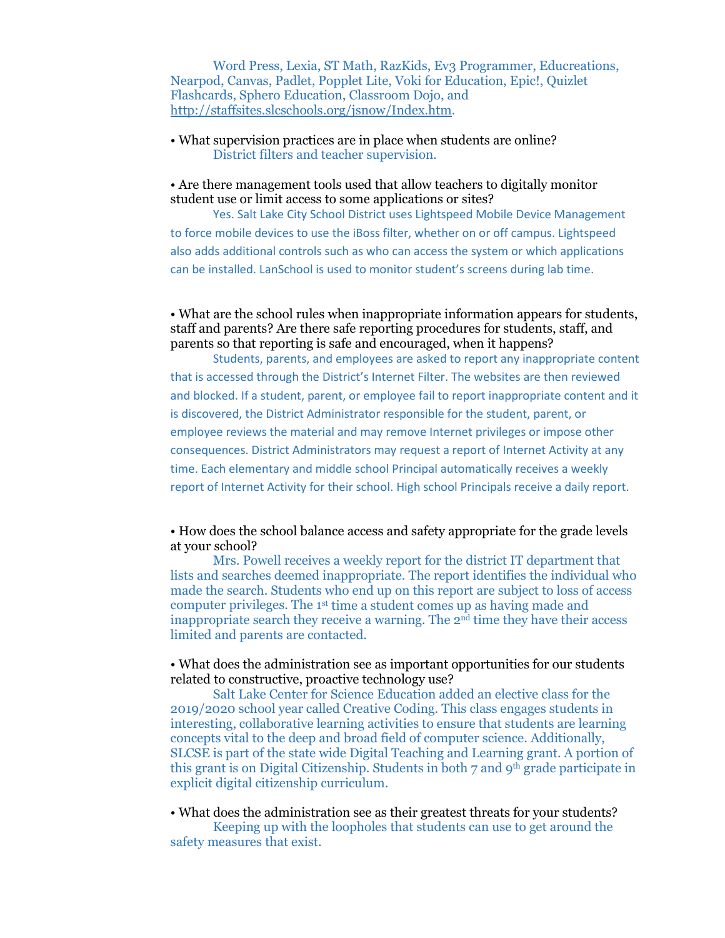Word Press, Lexia, ST Math, RazKids, Ev3 Programmer, Educreations, Nearpod, Canvas, Padlet, Popplet Lite, Voki for Education, Epic!, Quizlet Flashcards, Sphero Education, Classroom Dojo, and [http://staffsites.slcschools.org/jsnow/Index.htm.](http://staffsites.slcschools.org/jsnow/Index.htm)

• What supervision practices are in place when students are online? District filters and teacher supervision.

• Are there management tools used that allow teachers to digitally monitor student use or limit access to some applications or sites?

Yes. Salt Lake City School District uses Lightspeed Mobile Device Management to force mobile devices to use the iBoss filter, whether on or off campus. Lightspeed also adds additional controls such as who can access the system or which applications can be installed. LanSchool is used to monitor student's screens during lab time.

### • What are the school rules when inappropriate information appears for students, staff and parents? Are there safe reporting procedures for students, staff, and parents so that reporting is safe and encouraged, when it happens?

Students, parents, and employees are asked to report any inappropriate content that is accessed through the District's Internet Filter. The websites are then reviewed and blocked. If a student, parent, or employee fail to report inappropriate content and it is discovered, the District Administrator responsible for the student, parent, or employee reviews the material and may remove Internet privileges or impose other consequences. District Administrators may request a report of Internet Activity at any time. Each elementary and middle school Principal automatically receives a weekly report of Internet Activity for their school. High school Principals receive a daily report.

• How does the school balance access and safety appropriate for the grade levels at your school?

Mrs. Powell receives a weekly report for the district IT department that lists and searches deemed inappropriate. The report identifies the individual who made the search. Students who end up on this report are subject to loss of access computer privileges. The 1st time a student comes up as having made and inappropriate search they receive a warning. The 2nd time they have their access limited and parents are contacted.

#### • What does the administration see as important opportunities for our students related to constructive, proactive technology use?

Salt Lake Center for Science Education added an elective class for the 2019/2020 school year called Creative Coding. This class engages students in interesting, collaborative learning activities to ensure that students are learning concepts vital to the deep and broad field of computer science. Additionally, SLCSE is part of the state wide Digital Teaching and Learning grant. A portion of this grant is on Digital Citizenship. Students in both 7 and 9th grade participate in explicit digital citizenship curriculum.

• What does the administration see as their greatest threats for your students?

Keeping up with the loopholes that students can use to get around the safety measures that exist.